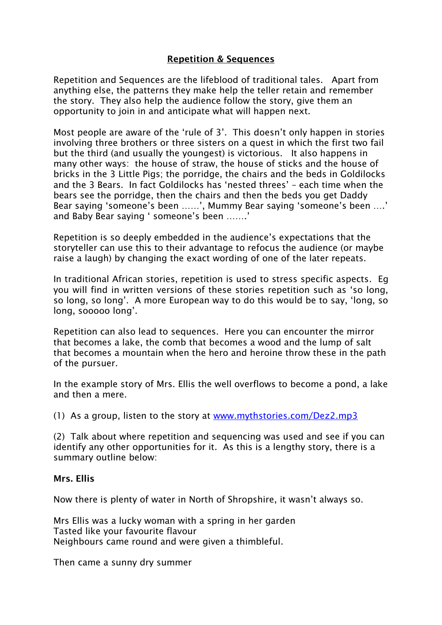# Repetition & Sequences

Repetition and Sequences are the lifeblood of traditional tales. Apart from anything else, the patterns they make help the teller retain and remember the story. They also help the audience follow the story, give them an opportunity to join in and anticipate what will happen next.

Most people are aware of the 'rule of 3'. This doesn't only happen in stories involving three brothers or three sisters on a quest in which the first two fail but the third (and usually the youngest) is victorious. It also happens in many other ways: the house of straw, the house of sticks and the house of bricks in the 3 Little Pigs; the porridge, the chairs and the beds in Goldilocks and the 3 Bears. In fact Goldilocks has 'nested threes' – each time when the bears see the porridge, then the chairs and then the beds you get Daddy Bear saying 'someone's been ……', Mummy Bear saying 'someone's been ….' and Baby Bear saying ' someone's been …….'

Repetition is so deeply embedded in the audience's expectations that the storyteller can use this to their advantage to refocus the audience (or maybe raise a laugh) by changing the exact wording of one of the later repeats.

In traditional African stories, repetition is used to stress specific aspects. Eg you will find in written versions of these stories repetition such as 'so long, so long, so long'. A more European way to do this would be to say, 'long, so long, sooooo long'.

Repetition can also lead to sequences. Here you can encounter the mirror that becomes a lake, the comb that becomes a wood and the lump of salt that becomes a mountain when the hero and heroine throw these in the path of the pursuer.

In the example story of Mrs. Ellis the well overflows to become a pond, a lake and then a mere.

(1) As a group, listen to the story at [www.mythstories.com/Dez2.mp3](http://www.mythstories.com/Dez2.mp3) 

(2) Talk about where repetition and sequencing was used and see if you can identify any other opportunities for it. As this is a lengthy story, there is a summary outline below:

# Mrs. Ellis

Now there is plenty of water in North of Shropshire, it wasn't always so.

Mrs Ellis was a lucky woman with a spring in her garden Tasted like your favourite flavour Neighbours came round and were given a thimbleful.

Then came a sunny dry summer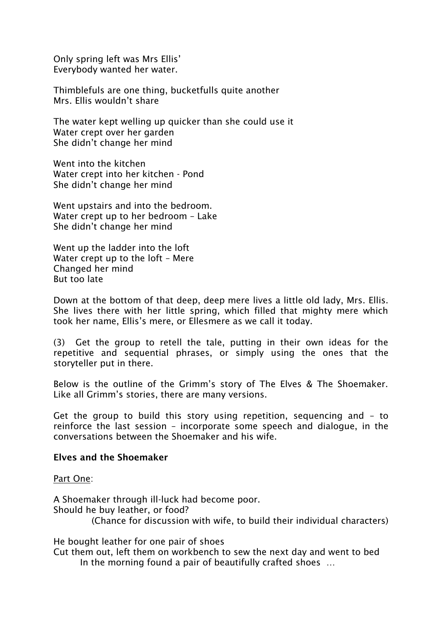Only spring left was Mrs Ellis' Everybody wanted her water.

Thimblefuls are one thing, bucketfulls quite another Mrs. Ellis wouldn't share

The water kept welling up quicker than she could use it Water crept over her garden She didn't change her mind

Went into the kitchen Water crept into her kitchen - Pond She didn't change her mind

Went upstairs and into the bedroom. Water crept up to her bedroom – Lake She didn't change her mind

Went up the ladder into the loft Water crept up to the loft – Mere Changed her mind But too late

Down at the bottom of that deep, deep mere lives a little old lady, Mrs. Ellis. She lives there with her little spring, which filled that mighty mere which took her name, Ellis's mere, or Ellesmere as we call it today.

(3) Get the group to retell the tale, putting in their own ideas for the repetitive and sequential phrases, or simply using the ones that the storyteller put in there.

Below is the outline of the Grimm's story of The Elves & The Shoemaker. Like all Grimm's stories, there are many versions.

Get the group to build this story using repetition, sequencing and – to reinforce the last session – incorporate some speech and dialogue, in the conversations between the Shoemaker and his wife.

### Elves and the Shoemaker

Part One:

A Shoemaker through ill-luck had become poor. Should he buy leather, or food? (Chance for discussion with wife, to build their individual characters)

He bought leather for one pair of shoes

Cut them out, left them on workbench to sew the next day and went to bed In the morning found a pair of beautifully crafted shoes …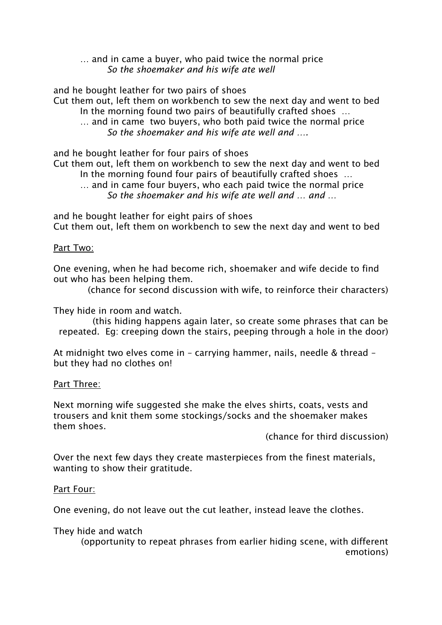### … and in came a buyer, who paid twice the normal price *So the shoemaker and his wife ate well*

and he bought leather for two pairs of shoes

Cut them out, left them on workbench to sew the next day and went to bed In the morning found two pairs of beautifully crafted shoes …

… and in came two buyers, who both paid twice the normal price *So the shoemaker and his wife ate well and ….*

and he bought leather for four pairs of shoes

Cut them out, left them on workbench to sew the next day and went to bed In the morning found four pairs of beautifully crafted shoes …

… and in came four buyers, who each paid twice the normal price *So the shoemaker and his wife ate well and … and …*

and he bought leather for eight pairs of shoes Cut them out, left them on workbench to sew the next day and went to bed

# Part Two:

One evening, when he had become rich, shoemaker and wife decide to find out who has been helping them.

(chance for second discussion with wife, to reinforce their characters)

They hide in room and watch.

(this hiding happens again later, so create some phrases that can be repeated. Eg: creeping down the stairs, peeping through a hole in the door)

At midnight two elves come in – carrying hammer, nails, needle & thread – but they had no clothes on!

# Part Three:

Next morning wife suggested she make the elves shirts, coats, vests and trousers and knit them some stockings/socks and the shoemaker makes them shoes.

(chance for third discussion)

Over the next few days they create masterpieces from the finest materials, wanting to show their gratitude.

# Part Four:

One evening, do not leave out the cut leather, instead leave the clothes.

# They hide and watch

(opportunity to repeat phrases from earlier hiding scene, with different emotions)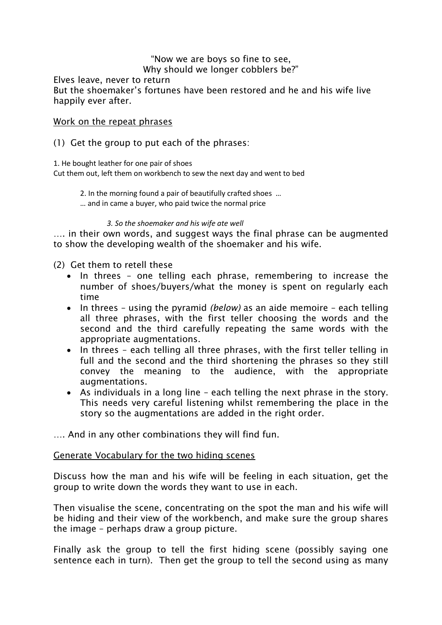### "Now we are boys so fine to see, Why should we longer cobblers be?"

Elves leave, never to return But the shoemaker's fortunes have been restored and he and his wife live happily ever after.

# Work on the repeat phrases

# (1) Get the group to put each of the phrases:

1. He bought leather for one pair of shoes

Cut them out, left them on workbench to sew the next day and went to bed

2. In the morning found a pair of beautifully crafted shoes …

… and in came a buyer, who paid twice the normal price

### *3. So the shoemaker and his wife ate well*

…. in their own words, and suggest ways the final phrase can be augmented to show the developing wealth of the shoemaker and his wife.

(2) Get them to retell these

- In threes one telling each phrase, remembering to increase the number of shoes/buyers/what the money is spent on regularly each time
- In threes using the pyramid *(below)* as an aide memoire each telling all three phrases, with the first teller choosing the words and the second and the third carefully repeating the same words with the appropriate augmentations.
- In threes each telling all three phrases, with the first teller telling in full and the second and the third shortening the phrases so they still convey the meaning to the audience, with the appropriate augmentations.
- As individuals in a long line each telling the next phrase in the story. This needs very careful listening whilst remembering the place in the story so the augmentations are added in the right order.

…. And in any other combinations they will find fun.

# Generate Vocabulary for the two hiding scenes

Discuss how the man and his wife will be feeling in each situation, get the group to write down the words they want to use in each.

Then visualise the scene, concentrating on the spot the man and his wife will be hiding and their view of the workbench, and make sure the group shares the image – perhaps draw a group picture.

Finally ask the group to tell the first hiding scene (possibly saying one sentence each in turn). Then get the group to tell the second using as many